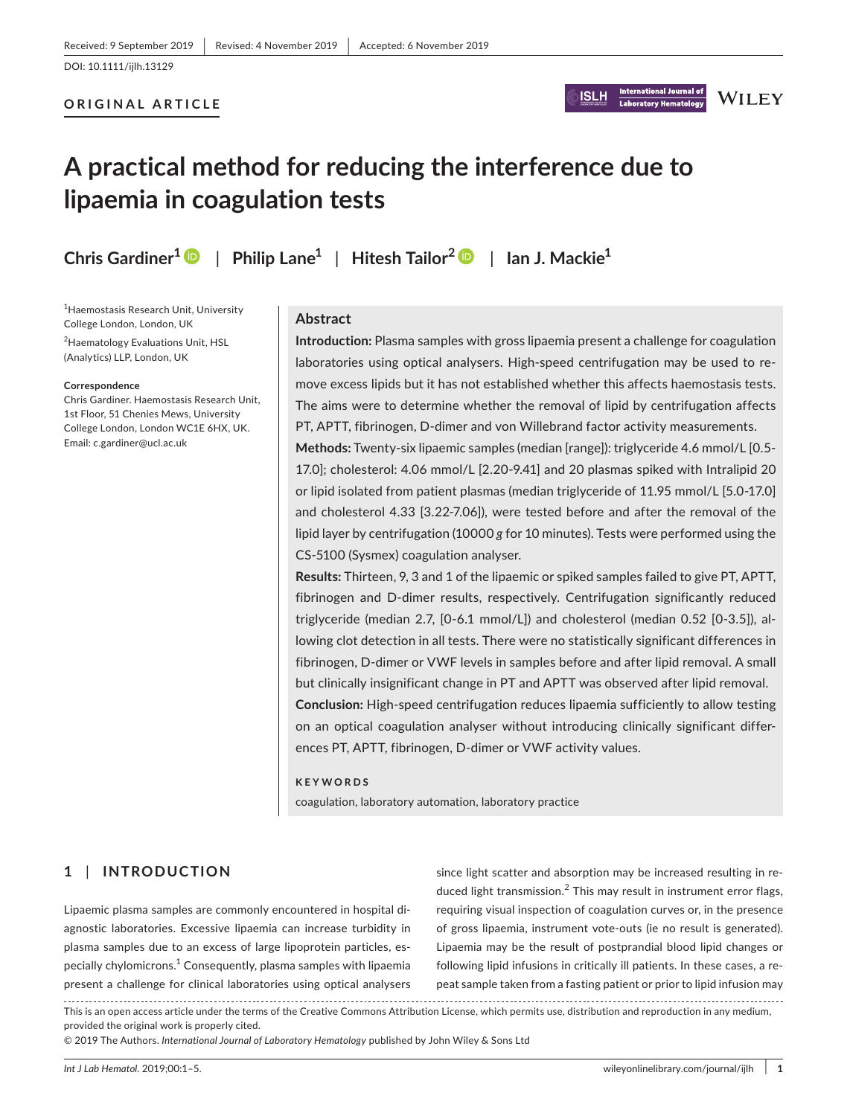#### **ORIGINAL ARTICLE**



# **WILEY**

# **A practical method for reducing the interference due to lipaemia in coagulation tests**

**Chris Gardiner1** | **Philip Lane1** | **Hitesh Tailor<sup>2</sup>** | **Ian J. Mackie1**

1 Haemostasis Research Unit, University College London, London, UK

2 Haematology Evaluations Unit, HSL (Analytics) LLP, London, UK

#### **Correspondence**

Chris Gardiner. Haemostasis Research Unit, 1st Floor, 51 Chenies Mews, University College London, London WC1E 6HX, UK. Email: [c.gardiner@ucl.ac.uk](mailto:c.gardiner@ucl.ac.uk)

#### **Abstract**

**Introduction:** Plasma samples with gross lipaemia present a challenge for coagulation laboratories using optical analysers. High-speed centrifugation may be used to remove excess lipids but it has not established whether this affects haemostasis tests. The aims were to determine whether the removal of lipid by centrifugation affects PT, APTT, fibrinogen, D-dimer and von Willebrand factor activity measurements.

**Methods:** Twenty-six lipaemic samples (median [range]): triglyceride 4.6 mmol/L [0.5- 17.0]; cholesterol: 4.06 mmol/L [2.20-9.41] and 20 plasmas spiked with Intralipid 20 or lipid isolated from patient plasmas (median triglyceride of 11.95 mmol/L [5.0-17.0] and cholesterol 4.33 [3.22-7.06]), were tested before and after the removal of the lipid layer by centrifugation (10000 *g* for 10 minutes). Tests were performed using the CS-5100 (Sysmex) coagulation analyser.

**Results:** Thirteen, 9, 3 and 1 of the lipaemic or spiked samples failed to give PT, APTT, fibrinogen and D-dimer results, respectively. Centrifugation significantly reduced triglyceride (median 2.7, [0-6.1 mmol/L]) and cholesterol (median 0.52 [0-3.5]), allowing clot detection in all tests. There were no statistically significant differences in fibrinogen, D-dimer or VWF levels in samples before and after lipid removal. A small but clinically insignificant change in PT and APTT was observed after lipid removal. **Conclusion:** High-speed centrifugation reduces lipaemia sufficiently to allow testing on an optical coagulation analyser without introducing clinically significant differences PT, APTT, fibrinogen, D-dimer or VWF activity values.

#### **KEYWORDS**

coagulation, laboratory automation, laboratory practice

### **1** | **INTRODUCTION**

Lipaemic plasma samples are commonly encountered in hospital diagnostic laboratories. Excessive lipaemia can increase turbidity in plasma samples due to an excess of large lipoprotein particles, especially chylomicrons. $^1$  Consequently, plasma samples with lipaemia present a challenge for clinical laboratories using optical analysers since light scatter and absorption may be increased resulting in reduced light transmission.<sup>2</sup> This may result in instrument error flags, requiring visual inspection of coagulation curves or, in the presence of gross lipaemia, instrument vote-outs (ie no result is generated). Lipaemia may be the result of postprandial blood lipid changes or following lipid infusions in critically ill patients. In these cases, a repeat sample taken from a fasting patient or prior to lipid infusion may

This is an open access article under the terms of the [Creative Commons Attribution](http://creativecommons.org/licenses/by/4.0/) License, which permits use, distribution and reproduction in any medium, provided the original work is properly cited.

© 2019 The Authors. *International Journal of Laboratory Hematology* published by John Wiley & Sons Ltd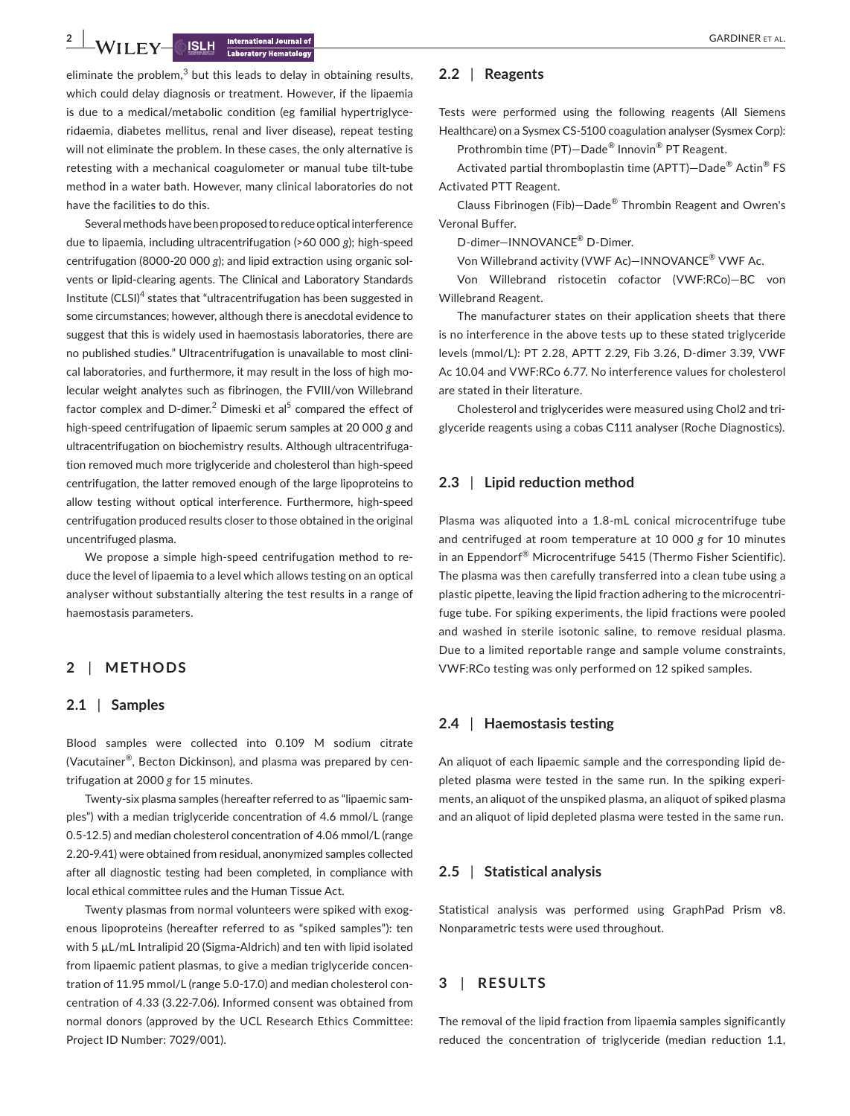**2 |**  GARDINER et al.

eliminate the problem, $3$  but this leads to delay in obtaining results, which could delay diagnosis or treatment. However, if the lipaemia is due to a medical/metabolic condition (eg familial hypertriglyceridaemia, diabetes mellitus, renal and liver disease), repeat testing will not eliminate the problem. In these cases, the only alternative is retesting with a mechanical coagulometer or manual tube tilt-tube method in a water bath. However, many clinical laboratories do not have the facilities to do this.

Several methods have been proposed to reduce optical interference due to lipaemia, including ultracentrifugation (>60 000 *g*); high-speed centrifugation (8000-20 000 *g*); and lipid extraction using organic solvents or lipid-clearing agents. The Clinical and Laboratory Standards Institute (CLSI)<sup>4</sup> states that "ultracentrifugation has been suggested in some circumstances; however, although there is anecdotal evidence to suggest that this is widely used in haemostasis laboratories, there are no published studies." Ultracentrifugation is unavailable to most clinical laboratories, and furthermore, it may result in the loss of high molecular weight analytes such as fibrinogen, the FVIII/von Willebrand factor complex and D-dimer.<sup>2</sup> Dimeski et al<sup>5</sup> compared the effect of high-speed centrifugation of lipaemic serum samples at 20 000 *g* and ultracentrifugation on biochemistry results. Although ultracentrifugation removed much more triglyceride and cholesterol than high-speed centrifugation, the latter removed enough of the large lipoproteins to allow testing without optical interference. Furthermore, high-speed centrifugation produced results closer to those obtained in the original uncentrifuged plasma.

We propose a simple high-speed centrifugation method to reduce the level of lipaemia to a level which allows testing on an optical analyser without substantially altering the test results in a range of haemostasis parameters.

#### **2** | **METHODS**

#### **2.1** | **Samples**

Blood samples were collected into 0.109 M sodium citrate (Vacutainer®, Becton Dickinson), and plasma was prepared by centrifugation at 2000 *g* for 15 minutes.

Twenty-six plasma samples (hereafter referred to as "lipaemic samples") with a median triglyceride concentration of 4.6 mmol/L (range 0.5-12.5) and median cholesterol concentration of 4.06 mmol/L (range 2.20-9.41) were obtained from residual, anonymized samples collected after all diagnostic testing had been completed, in compliance with local ethical committee rules and the Human Tissue Act.

Twenty plasmas from normal volunteers were spiked with exogenous lipoproteins (hereafter referred to as "spiked samples"): ten with 5  $\mu$ L/mL Intralipid 20 (Sigma-Aldrich) and ten with lipid isolated from lipaemic patient plasmas, to give a median triglyceride concentration of 11.95 mmol/L (range 5.0-17.0) and median cholesterol concentration of 4.33 (3.22-7.06). Informed consent was obtained from normal donors (approved by the UCL Research Ethics Committee: Project ID Number: 7029/001).

#### **2.2** | **Reagents**

Tests were performed using the following reagents (All Siemens Healthcare) on a Sysmex CS-5100 coagulation analyser (Sysmex Corp):

Prothrombin time (PT)—Dade® Innovin® PT Reagent.

Activated partial thromboplastin time (APTT)—Dade® Actin® FS Activated PTT Reagent.

Clauss Fibrinogen (Fib)—Dade® Thrombin Reagent and Owren's Veronal Buffer.

D-dimer—INNOVANCE® D-Dimer.

Von Willebrand activity (VWF Ac)—INNOVANCE® VWF Ac.

Von Willebrand ristocetin cofactor (VWF:RCo)—BC von Willebrand Reagent.

The manufacturer states on their application sheets that there is no interference in the above tests up to these stated triglyceride levels (mmol/L): PT 2.28, APTT 2.29, Fib 3.26, D-dimer 3.39, VWF Ac 10.04 and VWF:RCo 6.77. No interference values for cholesterol are stated in their literature.

Cholesterol and triglycerides were measured using Chol2 and triglyceride reagents using a cobas C111 analyser (Roche Diagnostics).

#### **2.3** | **Lipid reduction method**

Plasma was aliquoted into a 1.8-mL conical microcentrifuge tube and centrifuged at room temperature at 10 000 *g* for 10 minutes in an Eppendorf® Microcentrifuge 5415 (Thermo Fisher Scientific). The plasma was then carefully transferred into a clean tube using a plastic pipette, leaving the lipid fraction adhering to the microcentrifuge tube. For spiking experiments, the lipid fractions were pooled and washed in sterile isotonic saline, to remove residual plasma. Due to a limited reportable range and sample volume constraints, VWF:RCo testing was only performed on 12 spiked samples.

#### **2.4** | **Haemostasis testing**

An aliquot of each lipaemic sample and the corresponding lipid depleted plasma were tested in the same run. In the spiking experiments, an aliquot of the unspiked plasma, an aliquot of spiked plasma and an aliquot of lipid depleted plasma were tested in the same run.

#### **2.5** | **Statistical analysis**

Statistical analysis was performed using GraphPad Prism v8. Nonparametric tests were used throughout.

### **3** | **RESULTS**

The removal of the lipid fraction from lipaemia samples significantly reduced the concentration of triglyceride (median reduction 1.1,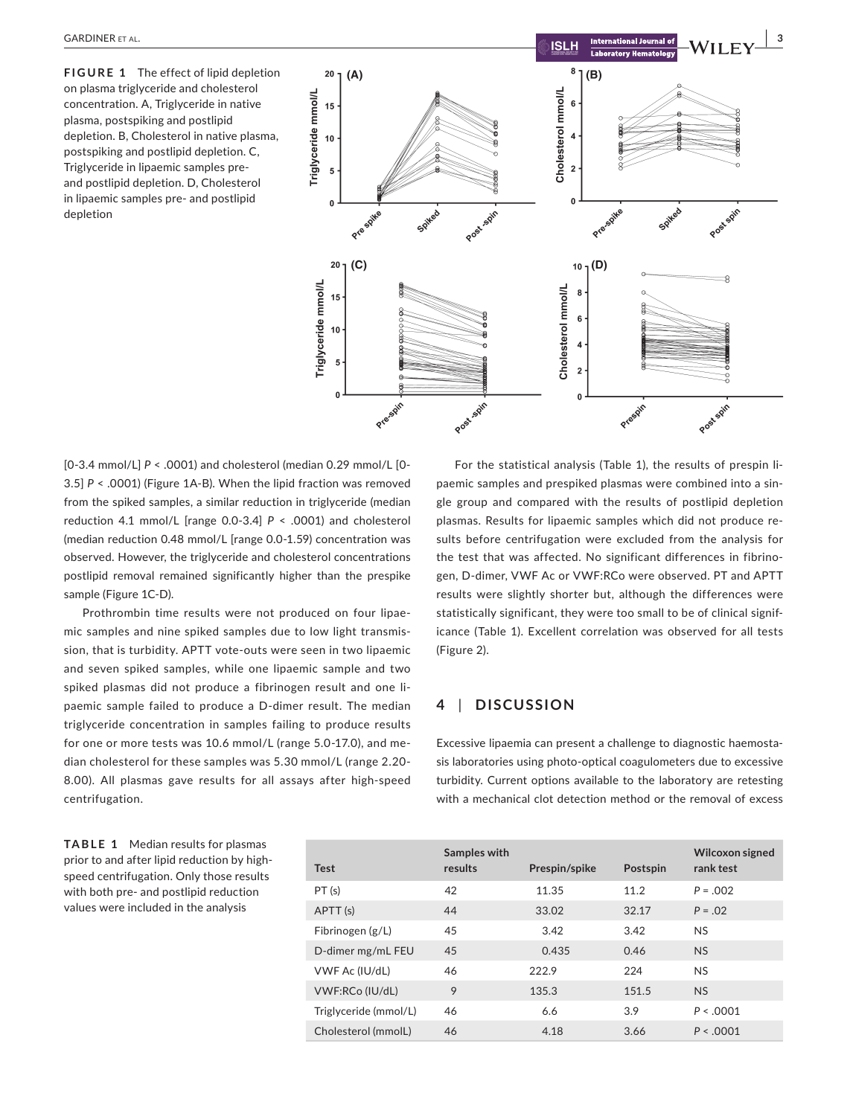**FIGURE 1** The effect of lipid depletion on plasma triglyceride and cholesterol concentration. A, Triglyceride in native plasma, postspiking and postlipid depletion. B, Cholesterol in native plasma, postspiking and postlipid depletion. C, Triglyceride in lipaemic samples preand postlipid depletion. D, Cholesterol in lipaemic samples pre- and postlipid depletion



[0-3.4 mmol/L] *P* < .0001) and cholesterol (median 0.29 mmol/L [0- 3.5] *P* < .0001) (Figure 1A-B). When the lipid fraction was removed from the spiked samples, a similar reduction in triglyceride (median reduction 4.1 mmol/L [range 0.0-3.4] *P* < .0001) and cholesterol (median reduction 0.48 mmol/L [range 0.0-1.59) concentration was observed. However, the triglyceride and cholesterol concentrations postlipid removal remained significantly higher than the prespike sample (Figure 1C-D).

Prothrombin time results were not produced on four lipaemic samples and nine spiked samples due to low light transmission, that is turbidity. APTT vote-outs were seen in two lipaemic and seven spiked samples, while one lipaemic sample and two spiked plasmas did not produce a fibrinogen result and one lipaemic sample failed to produce a D-dimer result. The median triglyceride concentration in samples failing to produce results for one or more tests was 10.6 mmol/L (range 5.0-17.0), and median cholesterol for these samples was 5.30 mmol/L (range 2.20- 8.00). All plasmas gave results for all assays after high-speed centrifugation.

For the statistical analysis (Table 1), the results of prespin lipaemic samples and prespiked plasmas were combined into a single group and compared with the results of postlipid depletion plasmas. Results for lipaemic samples which did not produce results before centrifugation were excluded from the analysis for the test that was affected. No significant differences in fibrinogen, D-dimer, VWF Ac or VWF:RCo were observed. PT and APTT results were slightly shorter but, although the differences were statistically significant, they were too small to be of clinical significance (Table 1). Excellent correlation was observed for all tests (Figure 2).

## **4** | **DISCUSSION**

Excessive lipaemia can present a challenge to diagnostic haemostasis laboratories using photo-optical coagulometers due to excessive turbidity. Current options available to the laboratory are retesting with a mechanical clot detection method or the removal of excess

**TABLE 1** Median results for plasmas prior to and after lipid reduction by highspeed centrifugation. Only those results with both pre- and postlipid reduction values were included in the analysis

| <b>Test</b>           | Samples with<br>results | Prespin/spike | Postspin | Wilcoxon signed<br>rank test |
|-----------------------|-------------------------|---------------|----------|------------------------------|
| PT(s)                 | 42                      | 11.35         | 11.2     | $P = 0.02$                   |
| APTT (s)              | 44                      | 33.02         | 32.17    | $P = 0.02$                   |
| Fibrinogen $(g/L)$    | 45                      | 3.42          | 3.42     | <b>NS</b>                    |
| D-dimer mg/mL FEU     | 45                      | 0.435         | 0.46     | <b>NS</b>                    |
| VWF Ac (IU/dL)        | 46                      | 222.9         | 224      | <b>NS</b>                    |
| VWF:RCo (IU/dL)       | 9                       | 135.3         | 151.5    | <b>NS</b>                    |
| Triglyceride (mmol/L) | 46                      | 6.6           | 3.9      | P < 0.001                    |
| Cholesterol (mmolL)   | 46                      | 4.18          | 3.66     | P < 0.001                    |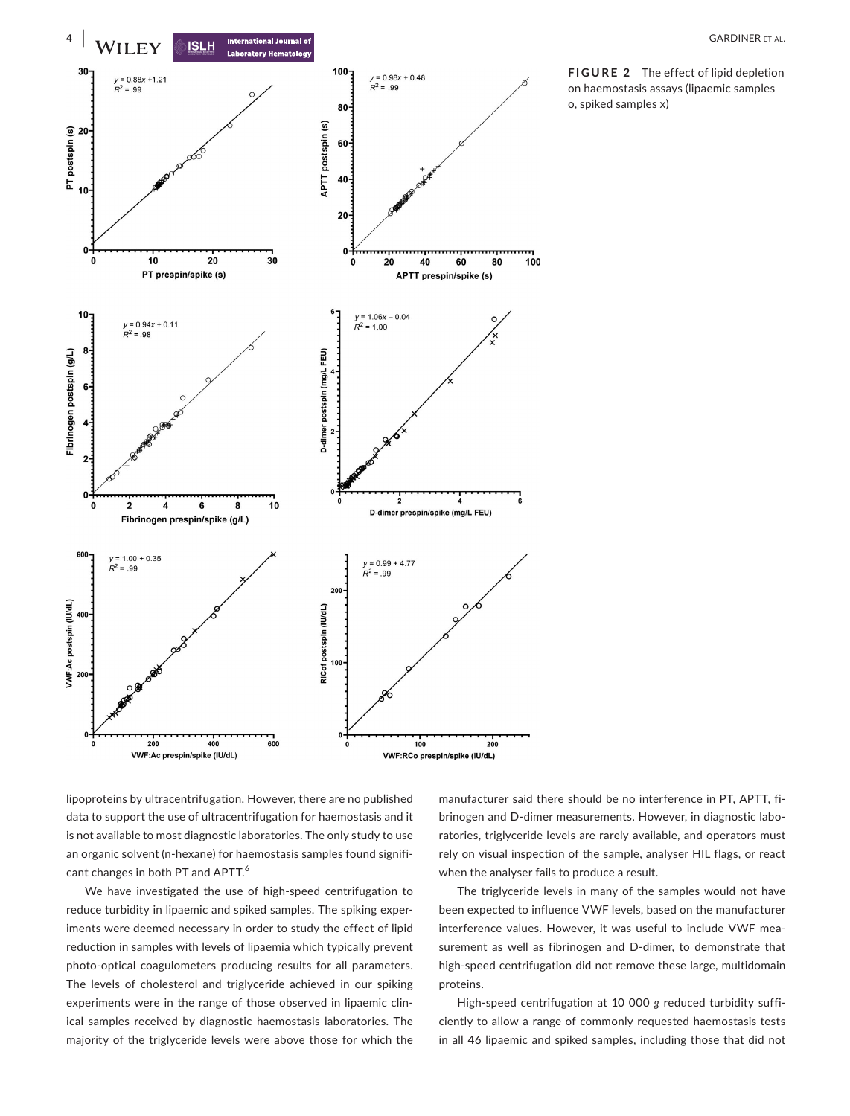

**FIGURE 2** The effect of lipid depletion on haemostasis assays (lipaemic samples o, spiked samples x)

lipoproteins by ultracentrifugation. However, there are no published data to support the use of ultracentrifugation for haemostasis and it is not available to most diagnostic laboratories. The only study to use an organic solvent (n-hexane) for haemostasis samples found significant changes in both PT and APTT.<sup>6</sup>

We have investigated the use of high-speed centrifugation to reduce turbidity in lipaemic and spiked samples. The spiking experiments were deemed necessary in order to study the effect of lipid reduction in samples with levels of lipaemia which typically prevent photo-optical coagulometers producing results for all parameters. The levels of cholesterol and triglyceride achieved in our spiking experiments were in the range of those observed in lipaemic clinical samples received by diagnostic haemostasis laboratories. The majority of the triglyceride levels were above those for which the

manufacturer said there should be no interference in PT, APTT, fibrinogen and D-dimer measurements. However, in diagnostic laboratories, triglyceride levels are rarely available, and operators must rely on visual inspection of the sample, analyser HIL flags, or react when the analyser fails to produce a result.

The triglyceride levels in many of the samples would not have been expected to influence VWF levels, based on the manufacturer interference values. However, it was useful to include VWF measurement as well as fibrinogen and D-dimer, to demonstrate that high-speed centrifugation did not remove these large, multidomain proteins.

High-speed centrifugation at 10 000 *g* reduced turbidity sufficiently to allow a range of commonly requested haemostasis tests in all 46 lipaemic and spiked samples, including those that did not